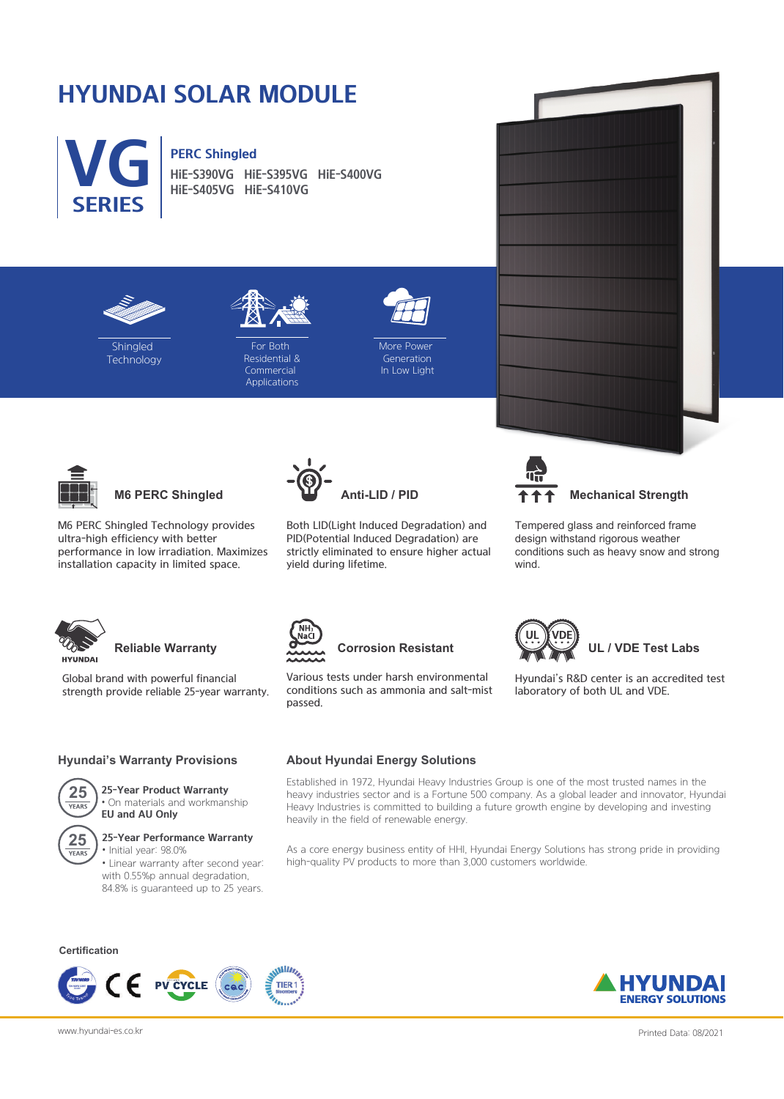# **HYUNDAI SOLAR MODULE**



**HiE-S390VG HiE-S395VG HiE-S400VG HiE-S405VG HiE-S410VG**





**Shingled Technology** 

For Both Residential & **Commercial** Applications



**More Power** Generation In Low Light



**M6 PERC Shingled**

M6 PERC Shingled Technology provides ultra-high efficiency with better performance in low irradiation. Maximizes installation capacity in limited space.



Both LID(Light Induced Degradation) and PID(Potential Induced Degradation) are strictly eliminated to ensure higher actual yield during lifetime.



**Mechanical Strength**

Tempered glass and reinforced frame design withstand rigorous weather conditions such as heavy snow and strong wind.

Hyundai's R&D center is an accredited test

 **UL / VDE Test Labs**

laboratory of both UL and VDE.



### **Reliable Warranty**

Global brand with powerful financial strength provide reliable 25-year warranty.

#### **Hyundai's Warranty Provisions**



### **25-Year Product Warranty**

• On materials and workmanship **EU and AU Only**



#### **25-Year Performance Warranty**

• Initial year: 98.0% • Linear warranty after second year: with 0.55%p annual degradation, 84.8% is guaranteed up to 25 years.

#### **Certification**



## **About Hyundai Energy Solutions**

Established in 1972, Hyundai Heavy Industries Group is one of the most trusted names in the heavy industries sector and is a Fortune 500 company. As a global leader and innovator, Hyundai Heavy Industries is committed to building a future growth engine by developing and investing heavily in the field of renewable energy.

As a core energy business entity of HHI, Hyundai Energy Solutions has strong pride in providing high-quality PV products to more than 3,000 customers worldwide.







**Corrosion Resistant**

Various tests under harsh environmental conditions such as ammonia and salt-mist passed.